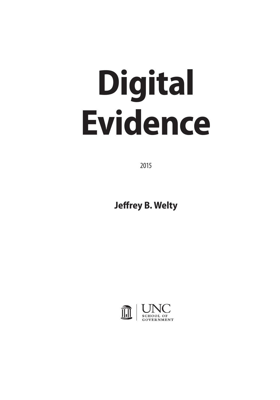# **Digital Evidence**

2015

**Jeffrey B. Welty**

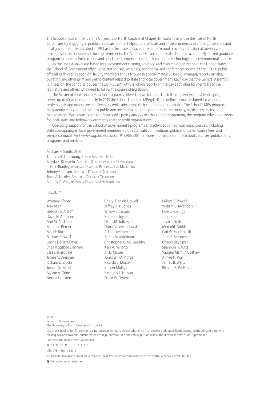The School of Government at the University of North Carolina at Chapel Hill works to improve the lives of North Carolinians by engaging in practical scholarship that helps public officials and citizens understand and improve state and local government. Established in 1931 as the Institute of Government, the School provides educational, advisory, and research services for state and local governments. The School of Government is also home to a nationally ranked graduate program in public administration and specialized centers focused on information technology and environmental finance.

As the largest university-based local government training, advisory, and research organization in the United States, the School of Government offers up to 200 courses, webinars, and specialized conferences for more than 12,000 public officials each year. In addition, faculty members annually publish approximately 50 books, manuals, reports, articles, bulletins, and other print and online content related to state and local government. Each day that the General Assembly is in session, the School produces the *Daily Bulletin Online*, which reports on the day's activities for members of the legislature and others who need to follow the course of legislation.

The Master of Public Administration Program is offered in two formats. The full-time, two-year residential program serves up to 60 students annually. In 2013 the School launched MPA@UNC, an online format designed for working professionals and others seeking flexibility while advancing their careers in public service. The School's MPA program consistently ranks among the best public administration graduate programs in the country, particularly in city management. With courses ranging from public policy analysis to ethics and management, the program educates leaders for local, state, and federal governments and nonprofit organizations.

Operating support for the School of Government's programs and activities comes from many sources, including state appropriations, local government membership dues, private contributions, publication sales, course fees, and service contracts. Visit www.sog.unc.edu or call 919.966.5381 for more information on the School's courses, publications, programs, and services.

#### Michael R. Smith, Dean

Thomas H. Thornburg, Senior Associate Dean Frayda S. Bluestein, Associate Dean for Faculty Development L. Ellen Bradley, Associate Dean for Programs and Marketing Johnny Burleson, Associate DEAN FOR DEVELOPMENT Todd A. Nicolet, Associate Dean for Operations Bradley G. Volk, Associate Dean for Administration

#### FACULTY

Whitney Afonso Trey Allen Gregory S. Allison David N. Ammons Ann M. Anderson Maureen Berner Mark F. Botts Michael Crowell Leisha DeHart-Davis Shea Riggsbee Denning Sara DePasquale James C. Drennan Richard D. Ducker Joseph S. Ferrell Alyson A. Grine Norma Houston

Cheryl Daniels Howell Jeffrey A. Hughes Willow S. Jacobson Robert P. Joyce Diane M. Juffras Dona G. Lewandowski Adam Lovelady James M. Markham Christopher B. McLaughlin Kara A. Millonzi Jill D. Moore Jonathan Q. Morgan Ricardo S. Morse C. Tyler Mulligan Kimberly L. Nelson David W. Owens

LaToya B. Powell William C. Rivenbark Dale J. Roenigk John Rubin Jessica Smith Meredith Smith Carl W. Stenberg III John B. Stephens Charles Szypszak Shannon H. Tufts Vaughn Mamlin Upshaw Aimee N. Wall Jeffrey B. Welty Richard B. Whisnant

© 2015

School of Government The University of North Carolina at Chapel Hill

Use of this publication for commercial purposes or without acknowledgment of its source is prohibited. Reproducing, distributing, or otherwise making available to a non-purchaser the entire publication, or a substantial portion of it, without express permission, is prohibited. Printed in the United States of America

19 18 17 16 15 1 2 3 4 5

ISBN 978-1-56011-837-4

This publication is printed on permanent, acid-free paper in compliance with the North Carolina General Statutes.

Printed on recycled paper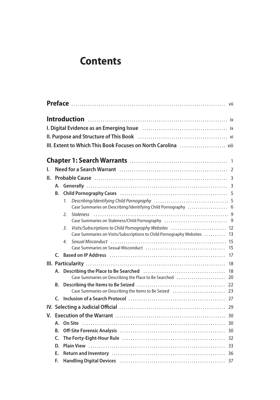# **Contents**

| L. |    |                       | Need for a Search Warrant (and the continuum continuum contract to the 2                                 |    |
|----|----|-----------------------|----------------------------------------------------------------------------------------------------------|----|
| П. |    |                       |                                                                                                          |    |
|    |    |                       |                                                                                                          |    |
|    | В. |                       |                                                                                                          |    |
|    |    | 1.                    |                                                                                                          |    |
|    |    |                       | Case Summaries on Describing/Identifying Child Pornography  6                                            |    |
|    |    | 2.                    |                                                                                                          |    |
|    |    |                       |                                                                                                          |    |
|    |    | 3.                    | Visits/Subscriptions to Child Pornography Websites  12                                                   |    |
|    |    |                       | Case Summaries on Visits/Subscriptions to Child Pornography Websites  13                                 |    |
|    |    | $\mathcal{A}_{\cdot}$ | Sexual Misconduct (and the content of the content of the content of the content of the sexual Misconduct |    |
|    |    |                       |                                                                                                          |    |
|    |    |                       |                                                                                                          |    |
|    |    |                       |                                                                                                          | 18 |
|    |    |                       |                                                                                                          | 18 |
|    |    |                       | Case Summaries on Describing the Place to Be Searched                                                    | 20 |
|    | В. |                       |                                                                                                          | 22 |
|    |    |                       |                                                                                                          |    |
|    |    |                       |                                                                                                          |    |
|    |    |                       |                                                                                                          |    |
| V. |    |                       |                                                                                                          |    |
|    | Α. |                       |                                                                                                          |    |
|    | B. |                       |                                                                                                          |    |
|    | C. |                       |                                                                                                          |    |
|    | D. |                       |                                                                                                          |    |
|    | Е. |                       |                                                                                                          |    |
|    | F. |                       |                                                                                                          |    |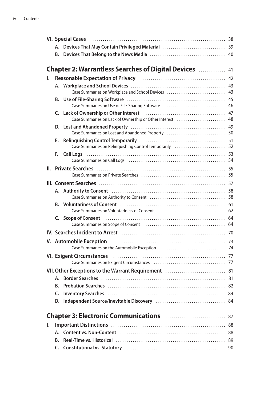|    | В. |                                                                                                                                                                                                                                |    |
|----|----|--------------------------------------------------------------------------------------------------------------------------------------------------------------------------------------------------------------------------------|----|
|    |    |                                                                                                                                                                                                                                |    |
|    |    | <b>Chapter 2: Warrantless Searches of Digital Devices</b> 41                                                                                                                                                                   |    |
| ı. |    |                                                                                                                                                                                                                                |    |
|    |    |                                                                                                                                                                                                                                |    |
|    |    | Case Summaries on Workplace and School Devices  43                                                                                                                                                                             |    |
|    | В. |                                                                                                                                                                                                                                |    |
|    |    | Case Summaries on Use of File-Sharing Software  46                                                                                                                                                                             |    |
|    |    |                                                                                                                                                                                                                                |    |
|    |    | Case Summaries on Lack of Ownership or Other Interest  48                                                                                                                                                                      |    |
|    |    | Case Summaries on Lost and Abandoned Property  50                                                                                                                                                                              |    |
|    | Е. |                                                                                                                                                                                                                                |    |
|    |    | Case Summaries on Relinquishing Control Temporarily  52                                                                                                                                                                        |    |
|    | F. | Call Logs (and the contract of the call of the call Logs (and the contract of the call of the call of the call $53$                                                                                                            |    |
|    |    | Case Summaries on Call Logs (and according contract on the State Summaries on Call Logs (and according contract of the State State State State State State State State State State State State State State State State State S |    |
|    |    |                                                                                                                                                                                                                                |    |
|    |    |                                                                                                                                                                                                                                |    |
|    |    |                                                                                                                                                                                                                                |    |
|    |    |                                                                                                                                                                                                                                |    |
|    |    |                                                                                                                                                                                                                                |    |
|    |    | B. Voluntariness of Consent (and the contract of the contract of the contract of the contract of the contract of the contract of the contract of the contract of the contract of the contract of the contract of the contract  |    |
|    |    | Case Summaries on Voluntariness of Consent (and the content of the summaries on Voluntariness of Consent (and the content of the S2                                                                                            |    |
|    |    |                                                                                                                                                                                                                                |    |
|    |    |                                                                                                                                                                                                                                |    |
|    |    |                                                                                                                                                                                                                                |    |
|    |    |                                                                                                                                                                                                                                |    |
|    |    |                                                                                                                                                                                                                                |    |
|    |    |                                                                                                                                                                                                                                |    |
|    |    |                                                                                                                                                                                                                                |    |
|    |    |                                                                                                                                                                                                                                |    |
|    |    |                                                                                                                                                                                                                                |    |
|    |    |                                                                                                                                                                                                                                |    |
|    | C. |                                                                                                                                                                                                                                |    |
|    | D. |                                                                                                                                                                                                                                |    |
|    |    |                                                                                                                                                                                                                                |    |
|    |    |                                                                                                                                                                                                                                | 87 |
| ı. |    |                                                                                                                                                                                                                                | 88 |
|    |    |                                                                                                                                                                                                                                | 88 |
|    | B. |                                                                                                                                                                                                                                | 89 |
|    |    |                                                                                                                                                                                                                                |    |
|    |    |                                                                                                                                                                                                                                | 90 |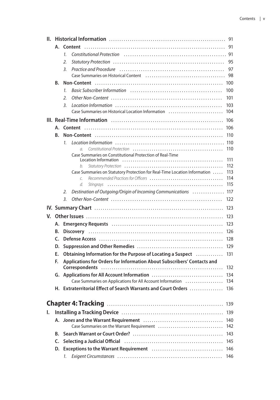| Ш. |    | 91                                                                                                                                                                                                                             |     |  |
|----|----|--------------------------------------------------------------------------------------------------------------------------------------------------------------------------------------------------------------------------------|-----|--|
|    | А. |                                                                                                                                                                                                                                | 91  |  |
|    |    | Constitutional Protection (and according constitutional Protection (and according constant constant of 91)<br>1.                                                                                                               |     |  |
|    |    | 2.                                                                                                                                                                                                                             | 95  |  |
|    |    | 3.                                                                                                                                                                                                                             | 97  |  |
|    |    |                                                                                                                                                                                                                                | 98  |  |
|    | В. |                                                                                                                                                                                                                                | 100 |  |
|    |    | Basic Subscriber Information (and the content of the state of the state of the state of the state of the state<br>1.                                                                                                           | 100 |  |
|    |    | Other Non-Content $\ldots$ , $\ldots$ , $\ldots$ , $\ldots$ , $\ldots$ , $\ldots$ , $\ldots$ , $\ldots$ , $\ldots$ , $\ldots$ , $\ldots$ , $\ldots$ , $\ldots$<br>2.                                                           | 101 |  |
|    |    | 3.                                                                                                                                                                                                                             | 103 |  |
|    |    | Case Summaries on Historical Location Information (education) (education (education)                                                                                                                                           | 104 |  |
|    |    |                                                                                                                                                                                                                                | 106 |  |
|    |    |                                                                                                                                                                                                                                | 106 |  |
|    | В. |                                                                                                                                                                                                                                | 110 |  |
|    |    | $\mathcal{I}$ .                                                                                                                                                                                                                | 110 |  |
|    |    | Constitutional Protection<br>$\sigma$                                                                                                                                                                                          | 110 |  |
|    |    | Case Summaries on Constitutional Protection of Real-Time                                                                                                                                                                       | 111 |  |
|    |    | b.                                                                                                                                                                                                                             | 112 |  |
|    |    | Case Summaries on Statutory Protection for Real-Time Location Information                                                                                                                                                      | 113 |  |
|    |    | C.                                                                                                                                                                                                                             | 114 |  |
|    |    | d.                                                                                                                                                                                                                             | 115 |  |
|    |    | Destination of Outgoing/Origin of Incoming Communications<br>2.                                                                                                                                                                | 117 |  |
|    |    | 3.                                                                                                                                                                                                                             | 122 |  |
|    |    |                                                                                                                                                                                                                                | 123 |  |
| V. |    |                                                                                                                                                                                                                                | 123 |  |
|    | Α. | Emergency Requests (and all and all and all and all and all and all and all and all and all and all and all an                                                                                                                 | 123 |  |
|    | B. |                                                                                                                                                                                                                                | 126 |  |
|    | C. |                                                                                                                                                                                                                                | 128 |  |
|    | D. |                                                                                                                                                                                                                                | 129 |  |
|    | Е. | Obtaining Information for the Purpose of Locating a Suspect                                                                                                                                                                    | 131 |  |
|    | F. | Applications for Orders for Information About Subscribers' Contacts and                                                                                                                                                        |     |  |
|    |    |                                                                                                                                                                                                                                | 132 |  |
|    | G. |                                                                                                                                                                                                                                | 134 |  |
|    |    | Case Summaries on Applications for All Account Information                                                                                                                                                                     | 134 |  |
|    |    | H. Extraterritorial Effect of Search Warrants and Court Orders  136                                                                                                                                                            |     |  |
|    |    |                                                                                                                                                                                                                                |     |  |
|    |    |                                                                                                                                                                                                                                | 139 |  |
| ı. |    |                                                                                                                                                                                                                                | 139 |  |
|    |    |                                                                                                                                                                                                                                | 140 |  |
|    |    | Case Summaries on the Warrant Requirement                                                                                                                                                                                      | 142 |  |
|    | В. |                                                                                                                                                                                                                                | 143 |  |
|    | C. | Selecting a Judicial Official (1000) (1000) (1000) (1000) (1000) (1000) (1000) (1000) (1000) (1000) (1000) (1000) (1000) (1000) (1000) (1000) (1000) (1000) (1000) (1000) (1000) (1000) (1000) (1000) (1000) (1000) (1000) (10 | 145 |  |
|    | D. |                                                                                                                                                                                                                                | 146 |  |
|    |    | 1.                                                                                                                                                                                                                             | 146 |  |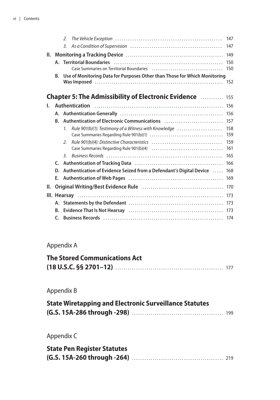|     |    | $\mathcal{L}$    |                                                                                                                                                                                                                                | 147        |
|-----|----|------------------|--------------------------------------------------------------------------------------------------------------------------------------------------------------------------------------------------------------------------------|------------|
|     |    | $\overline{3}$ . |                                                                                                                                                                                                                                | 147        |
| II. |    |                  |                                                                                                                                                                                                                                | 149        |
|     |    |                  | A. Territorial Boundaries (and all contained an array contact the contact of A. Territorial Boundaries (and all contact and all contact and all contact and all contact and all contact and all contact and all contact and al | 150        |
|     |    |                  | Case Summaries on Territorial Boundaries (all contained contained as a 150                                                                                                                                                     |            |
|     | В. |                  | Use of Monitoring Data for Purposes Other than Those for Which Monitoring                                                                                                                                                      |            |
|     |    |                  |                                                                                                                                                                                                                                |            |
|     |    |                  |                                                                                                                                                                                                                                |            |
|     |    |                  | <b>Chapter 5: The Admissibility of Electronic Evidence Matelling Chapter 5: The Admissibility of Electronic Evidence</b>                                                                                                       |            |
| I.  |    |                  | <b>Authentication</b>                                                                                                                                                                                                          |            |
|     |    |                  |                                                                                                                                                                                                                                |            |
|     | B. |                  |                                                                                                                                                                                                                                | 157        |
|     |    | $\mathcal{I}$ .  | Rule 901(b)(1): Testimony of a Witness with Knowledge                                                                                                                                                                          | 158<br>159 |
|     |    | $\mathcal{L}$    |                                                                                                                                                                                                                                | 159<br>161 |
|     |    | $\overline{3}$ . |                                                                                                                                                                                                                                | 165        |
|     |    |                  |                                                                                                                                                                                                                                | 166        |
|     | D. |                  | Authentication of Evidence Seized from a Defendant's Digital Device                                                                                                                                                            | 168        |
|     |    |                  |                                                                                                                                                                                                                                | 169        |
| II. |    |                  |                                                                                                                                                                                                                                | 170        |
|     |    |                  |                                                                                                                                                                                                                                | 173        |
|     |    |                  |                                                                                                                                                                                                                                |            |
|     |    |                  |                                                                                                                                                                                                                                |            |
|     | C. |                  |                                                                                                                                                                                                                                |            |

### Appendix A

## **The Stored Communications Act (18 U.S.C. §§ 2701–12)**.................................................... 177

### Appendix B

| <b>State Wiretapping and Electronic Surveillance Statutes</b> |  |
|---------------------------------------------------------------|--|
|                                                               |  |

Appendix C

| <b>State Pen Register Statutes</b> |  |
|------------------------------------|--|
|                                    |  |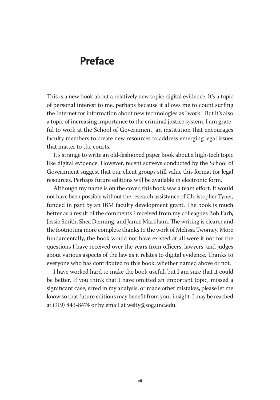# **Preface**

This is a new book about a relatively new topic: digital evidence. It's a topic of personal interest to me, perhaps because it allows me to count surfing the Internet for information about new technologies as "work." But it's also a topic of increasing importance to the criminal justice system. I am grateful to work at the School of Government, an institution that encourages faculty members to create new resources to address emerging legal issues that matter to the courts.

It's strange to write an old-fashioned paper book about a high-tech topic like digital evidence. However, recent surveys conducted by the School of Government suggest that our client groups still value this format for legal resources. Perhaps future editions will be available in electronic form.

Although my name is on the cover, this book was a team effort. It would not have been possible without the research assistance of Christopher Tyner, funded in part by an IBM faculty development grant. The book is much better as a result of the comments I received from my colleagues Bob Farb, Jessie Smith, Shea Denning, and Jamie Markham. The writing is clearer and the footnoting more complete thanks to the work of Melissa Twomey. More fundamentally, the book would not have existed at all were it not for the questions I have received over the years from officers, lawyers, and judges about various aspects of the law as it relates to digital evidence. Thanks to everyone who has contributed to this book, whether named above or not.

I have worked hard to make the book useful, but I am sure that it could be better. If you think that I have omitted an important topic, missed a significant case, erred in my analysis, or made other mistakes, please let me know so that future editions may benefit from your insight. I may be reached at (919) 843-8474 or by email at welty@sog.unc.edu.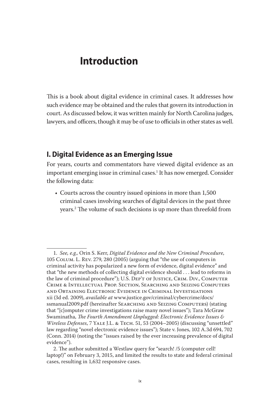# **Introduction**

This is a book about digital evidence in criminal cases. It addresses how such evidence may be obtained and the rules that govern its introduction in court. As discussed below, it was written mainly for North Carolina judges, lawyers, and officers, though it may be of use to officials in other states as well.

#### **I. Digital Evidence as an Emerging Issue**

For years, courts and commentators have viewed digital evidence as an important emerging issue in criminal cases.<sup>1</sup> It has now emerged. Consider the following data:

• Courts across the country issued opinions in more than 1,500 criminal cases involving searches of digital devices in the past three years.2 The volume of such decisions is up more than threefold from

<sup>1.</sup> *See, e.g.,* Orin S. Kerr, *Digital Evidence and the New Criminal Procedure*, 105 Colum. L. Rev. 279, 280 (2005) (arguing that "the use of computers in criminal activity has popularized a new form of evidence, digital evidence" and that "the new methods of collecting digital evidence should . . . lead to reforms in the law of criminal procedure"); U.S. Dep't of Justice, Crim. Div., Computer Crime & Intellectual Prop. Section, Searching and Seizing Computers and Obtaining Electronic Evidence in Criminal Investigations xii (3d ed. 2009), *available at* www.justice.gov/criminal/cybercrime/docs/ ssmanual2009.pdf (hereinafter Searching and Seizing Computers) (stating that "[c]omputer crime investigations raise many novel issues"); Tara McGraw Swaminatha, *The Fourth Amendment Unplugged: Electronic Evidence Issues & Wireless Defenses*, 7 Yale J.L. & Tech. 51, 53 (2004–2005) (discussing "unsettled" law regarding "novel electronic evidence issues"); State v. Jones, 102 A.3d 694, 702 (Conn. 2014) (noting the "issues raised by the ever increasing prevalence of digital evidence").

<sup>2.</sup> The author submitted a Westlaw query for "search! /5 (computer cell! laptop!)" on February 3, 2015, and limited the results to state and federal criminal cases, resulting in 1,632 responsive cases.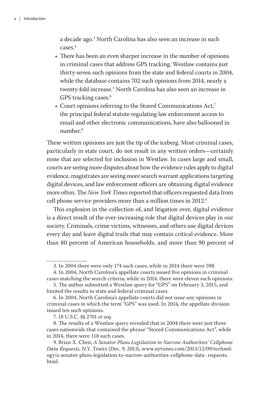a decade ago.3 North Carolina has also seen an increase in such cases.4

- There has been an even sharper increase in the number of opinions in criminal cases that address GPS tracking. Westlaw contains just thirty-seven such opinions from the state and federal courts in 2004, while the database contains 702 such opinions from 2014, nearly a twenty-fold increase.5 North Carolina has also seen an increase in GPS tracking cases.<sup>6</sup>
- Court opinions referring to the Stored Communications Act,<sup>7</sup> the principal federal statute regulating law enforcement access to email and other electronic communications, have also ballooned in number.8

These written opinions are just the tip of the iceberg. Most criminal cases, particularly in state court, do not result in any written orders—certainly none that are selected for inclusion in Westlaw. In cases large and small, courts are seeing more disputes about how the evidence rules apply to digital evidence, magistrates are seeing more search warrant applications targeting digital devices, and law enforcement officers are obtaining digital evidence more often. The *New York Times* reported that officers requested data from cell phone service providers more than a million times in 2012.<sup>9</sup>

This explosion in the collection of, and litigation over, digital evidence is a direct result of the ever-increasing role that digital devices play in our society. Criminals, crime victims, witnesses, and others use digital devices every day and leave digital trails that may contain critical evidence. More than 80 percent of American households, and more than 90 percent of

<sup>3.</sup> In 2004 there were only 174 such cases, while in 2014 there were 598.

<sup>4.</sup> In 2004, North Carolina's appellate courts issued five opinions in criminal cases matching the search criteria, while in 2014, there were eleven such opinions.

<sup>5.</sup> The author submitted a Westlaw query for "GPS" on February 3, 2015, and limited the results to state and federal criminal cases.

<sup>6.</sup> In 2004, North Carolina's appellate courts did not issue any opinions in criminal cases in which the term "GPS" was used. In 2014, the appellate division issued ten such opinions.

<sup>7. 18</sup> U.S.C. §§ 2701 *et seq*.

<sup>8.</sup> The results of a Westlaw query revealed that in 2004 there were just three cases nationwide that contained the phrase "Stored Communications Act", while in 2014, there were 118 such cases.

<sup>9.</sup> Brian X. Chen, *A Senator Plans Legislation to Narrow Authorities' Cellphone Data Requests*, N.Y. Times (Dec. 9, 2013), www.nytimes.com/2013/12/09/technology/a-senator-plans-legislation-to-narrow-authorities-cellphone-data- requests. html.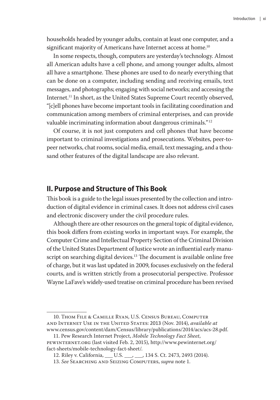households headed by younger adults, contain at least one computer, and a significant majority of Americans have Internet access at home.<sup>10</sup>

In some respects, though, computers are yesterday's technology. Almost all American adults have a cell phone, and among younger adults, almost all have a smartphone. These phones are used to do nearly everything that can be done on a computer, including sending and receiving emails, text messages, and photographs; engaging with social networks; and accessing the Internet.<sup>11</sup> In short, as the United States Supreme Court recently observed, "[c]ell phones have become important tools in facilitating coordination and communication among members of criminal enterprises, and can provide valuable incriminating information about dangerous criminals."12

Of course, it is not just computers and cell phones that have become important to criminal investigations and prosecutions. Websites, peer-topeer networks, chat rooms, social media, email, text messaging, and a thousand other features of the digital landscape are also relevant.

#### **II. Purpose and Structure of This Book**

This book is a guide to the legal issues presented by the collection and introduction of digital evidence in criminal cases. It does not address civil cases and electronic discovery under the civil procedure rules.

Although there are other resources on the general topic of digital evidence, this book differs from existing works in important ways. For example, the Computer Crime and Intellectual Property Section of the Criminal Division of the United States Department of Justice wrote an influential early manuscript on searching digital devices.<sup>13</sup> The document is available online free of charge, but it was last updated in 2009, focuses exclusively on the federal courts, and is written strictly from a prosecutorial perspective. Professor Wayne LaFave's widely-used treatise on criminal procedure has been revised

<sup>10.</sup> Thom File & Camille Ryan, U.S. Census Bureau, Computer and Internet Use in the United States: 2013 (Nov. 2014), *available at* www.census.gov/content/dam/Census/library/publications/2014/acs/acs-28.pdf.

<sup>11.</sup> Pew Research Internet Project, *Mobile Technology Fact Sheet*, pewinternet.org (last visited Feb. 2, 2015), http://www.pewinternet.org/ fact-sheets/mobile-technology-fact-sheet/.

<sup>12.</sup> Riley v. California, \_\_\_ U.S. \_\_\_, \_\_\_, 134 S. Ct. 2473, 2493 (2014).

<sup>13.</sup> *See* Searching and Seizing Computers, *supra* note 1.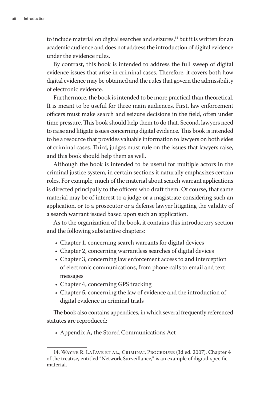to include material on digital searches and seizures,<sup>14</sup> but it is written for an academic audience and does not address the introduction of digital evidence under the evidence rules.

By contrast, this book is intended to address the full sweep of digital evidence issues that arise in criminal cases. Therefore, it covers both how digital evidence may be obtained and the rules that govern the admissibility of electronic evidence.

Furthermore, the book is intended to be more practical than theoretical. It is meant to be useful for three main audiences. First, law enforcement officers must make search and seizure decisions in the field, often under time pressure. This book should help them to do that. Second, lawyers need to raise and litigate issues concerning digital evidence. This book is intended to be a resource that provides valuable information to lawyers on both sides of criminal cases. Third, judges must rule on the issues that lawyers raise, and this book should help them as well.

Although the book is intended to be useful for multiple actors in the criminal justice system, in certain sections it naturally emphasizes certain roles. For example, much of the material about search warrant applications is directed principally to the officers who draft them. Of course, that same material may be of interest to a judge or a magistrate considering such an application, or to a prosecutor or a defense lawyer litigating the validity of a search warrant issued based upon such an application.

As to the organization of the book, it contains this introductory section and the following substantive chapters:

- Chapter 1, concerning search warrants for digital devices
- Chapter 2, concerning warrantless searches of digital devices
- Chapter 3, concerning law enforcement access to and interception of electronic communications, from phone calls to email and text messages
- Chapter 4, concerning GPS tracking
- Chapter 5, concerning the law of evidence and the introduction of digital evidence in criminal trials

The book also contains appendices, in which several frequently referenced statutes are reproduced:

• Appendix A, the Stored Communications Act

<sup>14.</sup> Wayne R. LaFave et al., Criminal Procedure (3d ed. 2007). Chapter 4 of the treatise, entitled "Network Surveillance," is an example of digital-specific material.